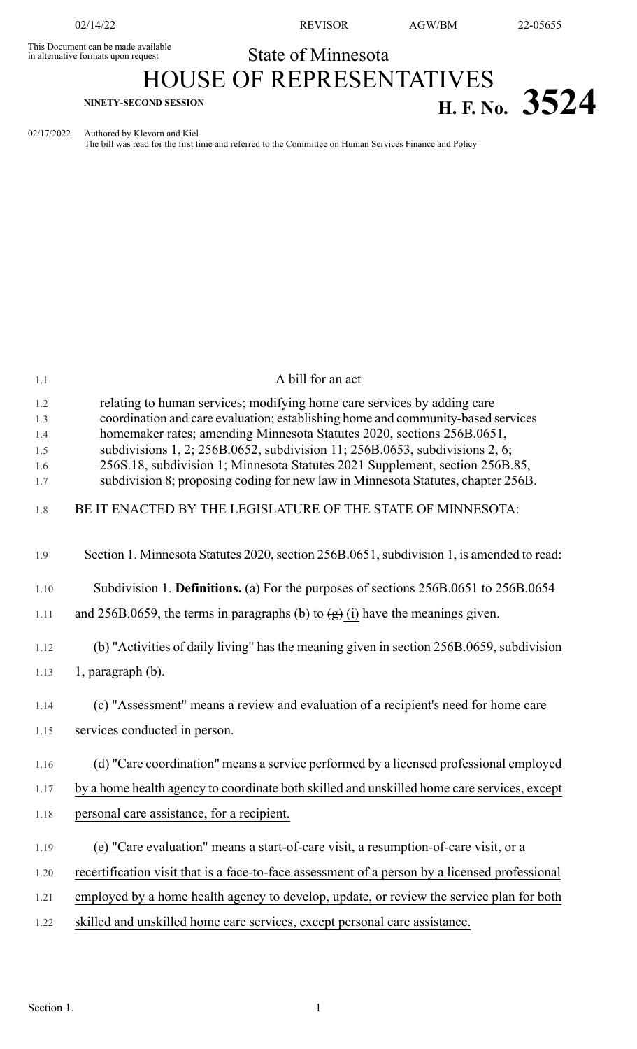This Document can be made available<br>in alternative formats upon request

## State of Minnesota HOUSE OF REPRESENTATIVES

## **H. F. No.**  $3524$

02/17/2022 Authored by Klevorn and Kiel

The bill was read for the first time and referred to the Committee on Human Services Finance and Policy

| 1.1                      | A bill for an act                                                                                                                                                                                                                                                                                                    |
|--------------------------|----------------------------------------------------------------------------------------------------------------------------------------------------------------------------------------------------------------------------------------------------------------------------------------------------------------------|
| 1.2<br>1.3<br>1.4<br>1.5 | relating to human services; modifying home care services by adding care<br>coordination and care evaluation; establishing home and community-based services<br>homemaker rates; amending Minnesota Statutes 2020, sections 256B.0651,<br>subdivisions 1, 2; 256B.0652, subdivision 11; 256B.0653, subdivisions 2, 6; |
| 1.6<br>1.7               | 256S.18, subdivision 1; Minnesota Statutes 2021 Supplement, section 256B.85,<br>subdivision 8; proposing coding for new law in Minnesota Statutes, chapter 256B.                                                                                                                                                     |
| 1.8                      | BE IT ENACTED BY THE LEGISLATURE OF THE STATE OF MINNESOTA:                                                                                                                                                                                                                                                          |
| 1.9                      | Section 1. Minnesota Statutes 2020, section 256B.0651, subdivision 1, is amended to read:                                                                                                                                                                                                                            |
| 1.10                     | Subdivision 1. Definitions. (a) For the purposes of sections 256B.0651 to 256B.0654                                                                                                                                                                                                                                  |
| 1.11                     | and 256B.0659, the terms in paragraphs (b) to $\left(\frac{1}{g}\right)$ (i) have the meanings given.                                                                                                                                                                                                                |
| 1.12                     | (b) "Activities of daily living" has the meaning given in section 256B.0659, subdivision                                                                                                                                                                                                                             |
| 1.13                     | 1, paragraph (b).                                                                                                                                                                                                                                                                                                    |
| 1.14                     | (c) "Assessment" means a review and evaluation of a recipient's need for home care                                                                                                                                                                                                                                   |
| 1.15                     | services conducted in person.                                                                                                                                                                                                                                                                                        |
| 1.16                     | (d) "Care coordination" means a service performed by a licensed professional employed                                                                                                                                                                                                                                |
| 1.17                     | by a home health agency to coordinate both skilled and unskilled home care services, except                                                                                                                                                                                                                          |
| 1.18                     | personal care assistance, for a recipient.                                                                                                                                                                                                                                                                           |
| 1.19                     | (e) "Care evaluation" means a start-of-care visit, a resumption-of-care visit, or a                                                                                                                                                                                                                                  |
| 1.20                     | recertification visit that is a face-to-face assessment of a person by a licensed professional                                                                                                                                                                                                                       |
| 1.21                     | employed by a home health agency to develop, update, or review the service plan for both                                                                                                                                                                                                                             |
| 1.22                     | skilled and unskilled home care services, except personal care assistance.                                                                                                                                                                                                                                           |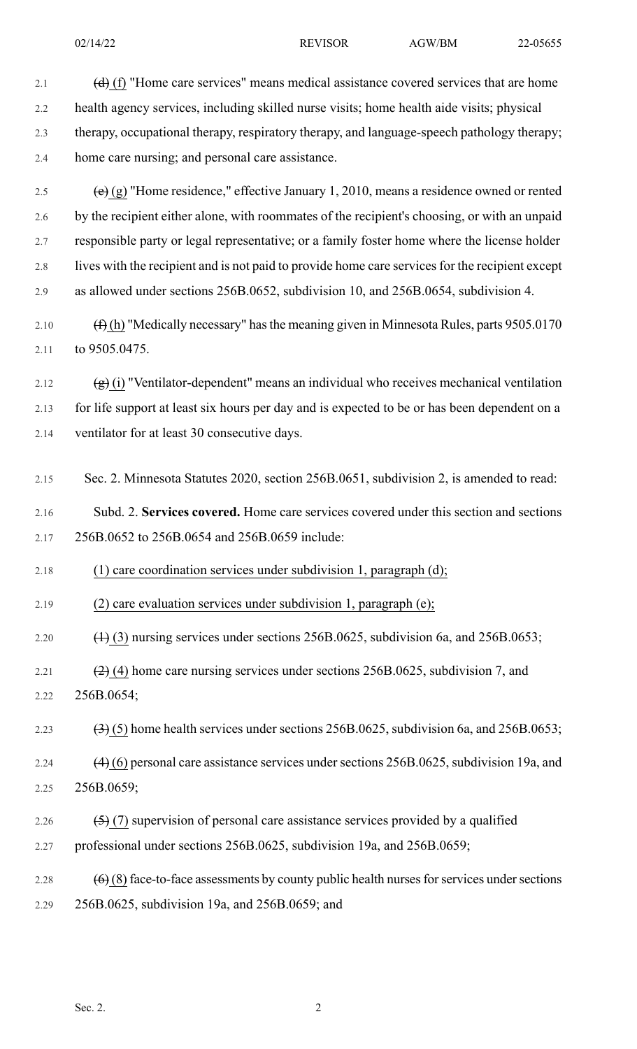| 2.1  | $(d)$ (f) "Home care services" means medical assistance covered services that are home           |
|------|--------------------------------------------------------------------------------------------------|
| 2.2  | health agency services, including skilled nurse visits; home health aide visits; physical        |
| 2.3  | therapy, occupational therapy, respiratory therapy, and language-speech pathology therapy;       |
| 2.4  | home care nursing; and personal care assistance.                                                 |
| 2.5  | (e) (g) "Home residence," effective January 1, 2010, means a residence owned or rented           |
| 2.6  | by the recipient either alone, with roommates of the recipient's choosing, or with an unpaid     |
| 2.7  | responsible party or legal representative; or a family foster home where the license holder      |
| 2.8  | lives with the recipient and is not paid to provide home care services for the recipient except  |
| 2.9  | as allowed under sections 256B.0652, subdivision 10, and 256B.0654, subdivision 4.               |
| 2.10 | $(\text{f})$ (h) "Medically necessary" has the meaning given in Minnesota Rules, parts 9505.0170 |
| 2.11 | to 9505.0475.                                                                                    |
| 2.12 | $(g)$ (i) "Ventilator-dependent" means an individual who receives mechanical ventilation         |
| 2.13 | for life support at least six hours per day and is expected to be or has been dependent on a     |
| 2.14 | ventilator for at least 30 consecutive days.                                                     |
|      |                                                                                                  |
| 2.15 | Sec. 2. Minnesota Statutes 2020, section 256B.0651, subdivision 2, is amended to read:           |
| 2.16 | Subd. 2. Services covered. Home care services covered under this section and sections            |
| 2.17 | 256B.0652 to 256B.0654 and 256B.0659 include:                                                    |
| 2.18 | (1) care coordination services under subdivision 1, paragraph (d);                               |
| 2.19 | (2) care evaluation services under subdivision 1, paragraph (e);                                 |
| 2.20 | $(1)$ (3) nursing services under sections 256B.0625, subdivision 6a, and 256B.0653;              |
| 2.21 | $(2)$ (4) home care nursing services under sections 256B.0625, subdivision 7, and                |
| 2.22 | 256B.0654;                                                                                       |
| 2.23 | $(3)(5)$ home health services under sections 256B.0625, subdivision 6a, and 256B.0653;           |
| 2.24 | $(4)$ (6) personal care assistance services under sections 256B.0625, subdivision 19a, and       |
| 2.25 | 256B.0659;                                                                                       |
| 2.26 | $(5)$ (7) supervision of personal care assistance services provided by a qualified               |
| 2.27 | professional under sections 256B.0625, subdivision 19a, and 256B.0659;                           |
| 2.28 | $(6)$ (8) face-to-face assessments by county public health nurses for services under sections    |
| 2.29 | 256B.0625, subdivision 19a, and 256B.0659; and                                                   |
|      |                                                                                                  |
|      |                                                                                                  |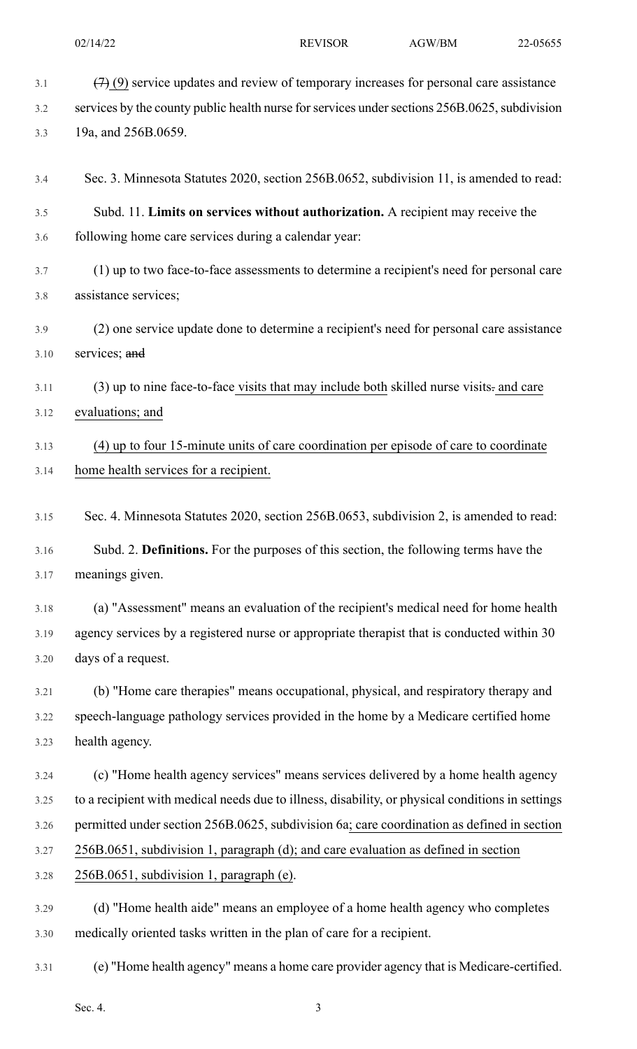| 3.1  | $(7)$ (9) service updates and review of temporary increases for personal care assistance         |
|------|--------------------------------------------------------------------------------------------------|
| 3.2  | services by the county public health nurse for services under sections 256B.0625, subdivision    |
| 3.3  | 19a, and 256B.0659.                                                                              |
| 3.4  | Sec. 3. Minnesota Statutes 2020, section 256B.0652, subdivision 11, is amended to read:          |
| 3.5  | Subd. 11. Limits on services without authorization. A recipient may receive the                  |
| 3.6  | following home care services during a calendar year:                                             |
| 3.7  | (1) up to two face-to-face assessments to determine a recipient's need for personal care         |
| 3.8  | assistance services;                                                                             |
| 3.9  | (2) one service update done to determine a recipient's need for personal care assistance         |
| 3.10 | services; and                                                                                    |
| 3.11 | (3) up to nine face-to-face visits that may include both skilled nurse visits- and care          |
| 3.12 | evaluations; and                                                                                 |
| 3.13 | (4) up to four 15-minute units of care coordination per episode of care to coordinate            |
| 3.14 | home health services for a recipient.                                                            |
| 3.15 | Sec. 4. Minnesota Statutes 2020, section 256B.0653, subdivision 2, is amended to read:           |
| 3.16 | Subd. 2. Definitions. For the purposes of this section, the following terms have the             |
| 3.17 | meanings given.                                                                                  |
| 3.18 | (a) "Assessment" means an evaluation of the recipient's medical need for home health             |
| 3.19 | agency services by a registered nurse or appropriate therapist that is conducted within 30       |
| 3.20 | days of a request.                                                                               |
| 3.21 | (b) "Home care therapies" means occupational, physical, and respiratory therapy and              |
| 3.22 | speech-language pathology services provided in the home by a Medicare certified home             |
| 3.23 | health agency.                                                                                   |
| 3.24 | (c) "Home health agency services" means services delivered by a home health agency               |
| 3.25 | to a recipient with medical needs due to illness, disability, or physical conditions in settings |
| 3.26 | permitted under section 256B.0625, subdivision 6a; care coordination as defined in section       |
| 3.27 | 256B.0651, subdivision 1, paragraph (d); and care evaluation as defined in section               |
| 3.28 | 256B.0651, subdivision 1, paragraph (e).                                                         |
| 3.29 | (d) "Home health aide" means an employee of a home health agency who completes                   |
| 3.30 | medically oriented tasks written in the plan of care for a recipient.                            |
| 3.31 | (e) "Home health agency" means a home care provider agency that is Medicare-certified.           |
|      | Sec. 4.<br>3                                                                                     |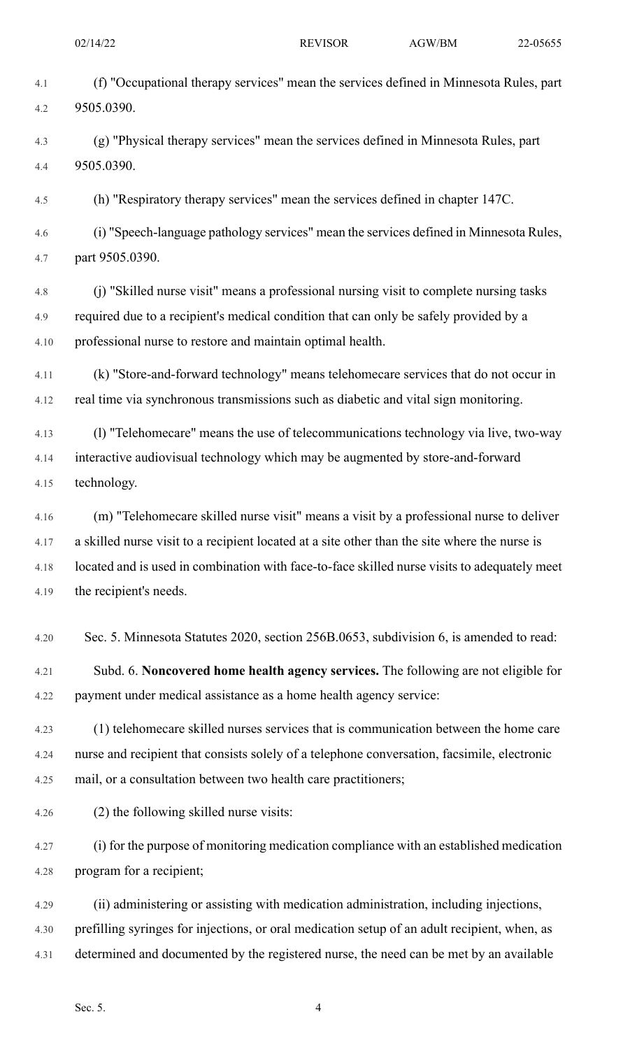4.1 (f) "Occupational therapy services" mean the services defined in Minnesota Rules, part 4.2 9505.0390. 4.3 (g) "Physical therapy services" mean the services defined in Minnesota Rules, part 4.4 9505.0390. 4.5 (h) "Respiratory therapy services" mean the services defined in chapter 147C. 4.6 (i) "Speech-language pathology services" mean the services defined in Minnesota Rules, 4.7 part 9505.0390. 4.8 (j) "Skilled nurse visit" means a professional nursing visit to complete nursing tasks 4.9 required due to a recipient's medical condition that can only be safely provided by a

4.10 professional nurse to restore and maintain optimal health.

4.11 (k) "Store-and-forward technology" means telehomecare services that do not occur in 4.12 real time via synchronous transmissions such as diabetic and vital sign monitoring.

4.13 (l) "Telehomecare" means the use of telecommunications technology via live, two-way 4.14 interactive audiovisual technology which may be augmented by store-and-forward 4.15 technology.

4.16 (m) "Telehomecare skilled nurse visit" means a visit by a professional nurse to deliver 4.17 a skilled nurse visit to a recipient located at a site other than the site where the nurse is 4.18 located and is used in combination with face-to-face skilled nurse visits to adequately meet 4.19 the recipient's needs.

4.20 Sec. 5. Minnesota Statutes 2020, section 256B.0653, subdivision 6, is amended to read:

4.21 Subd. 6. **Noncovered home health agency services.** The following are not eligible for 4.22 payment under medical assistance as a home health agency service:

4.23 (1) telehomecare skilled nurses services that is communication between the home care 4.24 nurse and recipient that consists solely of a telephone conversation, facsimile, electronic 4.25 mail, or a consultation between two health care practitioners;

4.26 (2) the following skilled nurse visits:

4.27 (i) for the purpose of monitoring medication compliance with an established medication 4.28 program for a recipient;

4.29 (ii) administering or assisting with medication administration, including injections, 4.30 prefilling syringes for injections, or oral medication setup of an adult recipient, when, as 4.31 determined and documented by the registered nurse, the need can be met by an available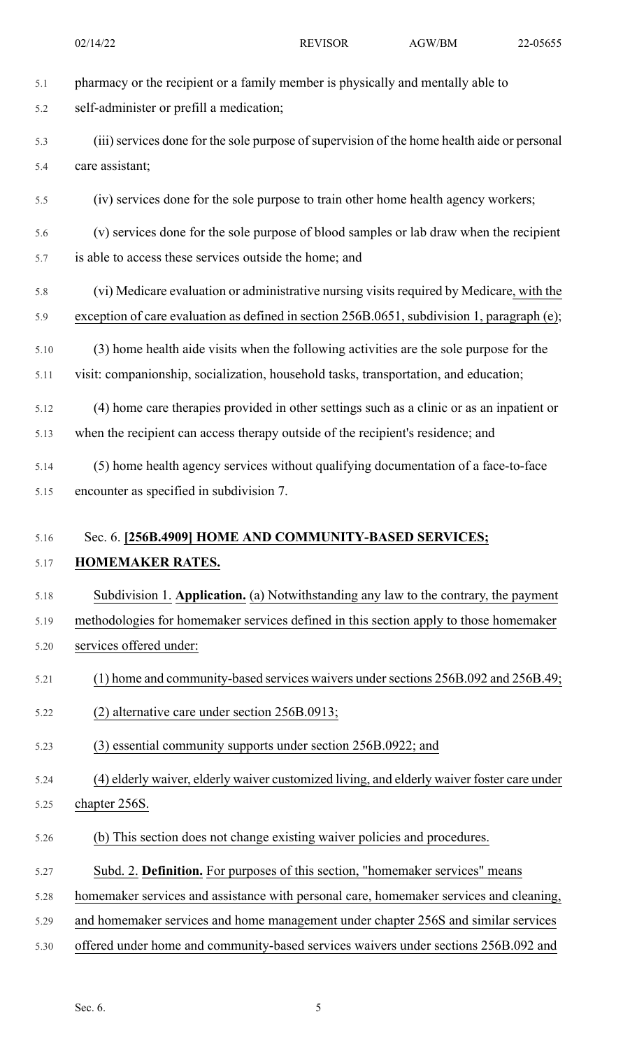5.1 pharmacy or the recipient or a family member is physically and mentally able to 5.2 self-administer or prefill a medication; 5.3 (iii) services done for the sole purpose of supervision of the home health aide or personal 5.4 care assistant; 5.5 (iv) services done for the sole purpose to train other home health agency workers; 5.6 (v) services done for the sole purpose of blood samples or lab draw when the recipient 5.7 is able to access these services outside the home; and 5.8 (vi) Medicare evaluation or administrative nursing visits required by Medicare, with the 5.9 exception of care evaluation as defined in section 256B.0651, subdivision 1, paragraph (e); 5.10 (3) home health aide visits when the following activities are the sole purpose for the 5.11 visit: companionship, socialization, household tasks, transportation, and education; 5.12 (4) home care therapies provided in other settings such as a clinic or as an inpatient or 5.13 when the recipient can access therapy outside of the recipient's residence; and 5.14 (5) home health agency services without qualifying documentation of a face-to-face 5.15 encounter as specified in subdivision 7. 5.16 Sec. 6. **[256B.4909] HOME AND COMMUNITY-BASED SERVICES;** 5.17 **HOMEMAKER RATES.** 5.18 Subdivision 1. **Application.** (a) Notwithstanding any law to the contrary, the payment 02/14/22 REVISOR AGW/BM 22-05655

5.19 methodologies for homemaker services defined in this section apply to those homemaker 5.20 services offered under:

- 5.21 (1) home and community-based services waivers undersections 256B.092 and 256B.49;
- 5.22 (2) alternative care under section 256B.0913;
- 5.23 (3) essential community supports under section 256B.0922; and
- 5.24 (4) elderly waiver, elderly waiver customized living, and elderly waiver foster care under
- 5.25 chapter 256S.
- 5.26 (b) This section does not change existing waiver policies and procedures.
- 5.27 Subd. 2. **Definition.** For purposes of this section, "homemaker services" means
- 5.28 homemaker services and assistance with personal care, homemaker services and cleaning,
- 5.29 and homemaker services and home management under chapter 256S and similar services
- 5.30 offered under home and community-based services waivers under sections 256B.092 and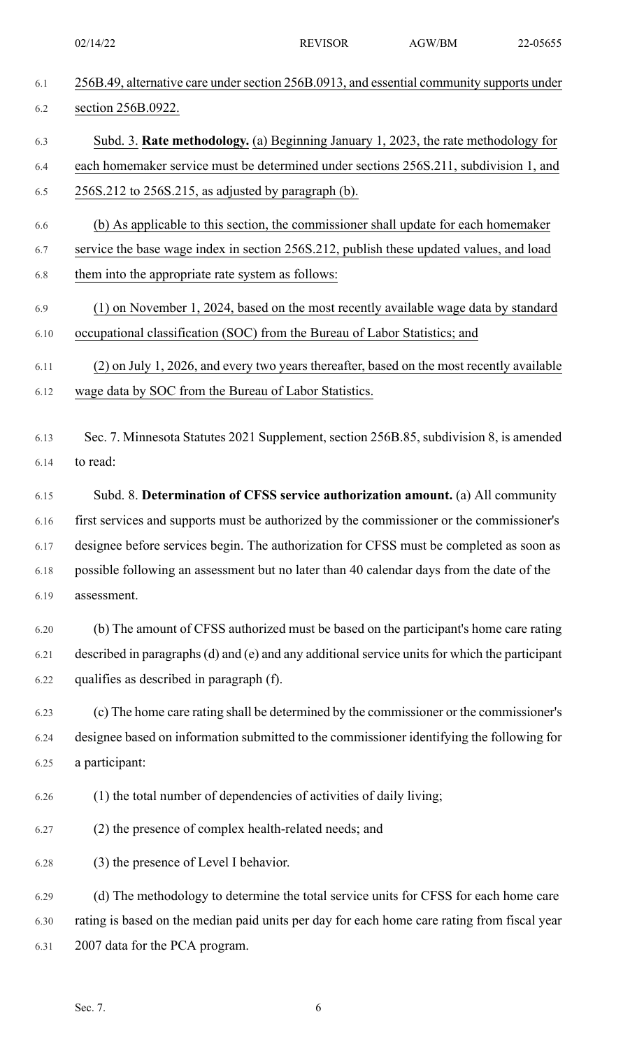| 6.1  | 256B.49, alternative care under section 256B.0913, and essential community supports under      |
|------|------------------------------------------------------------------------------------------------|
| 6.2  | section 256B.0922.                                                                             |
| 6.3  | Subd. 3. Rate methodology. (a) Beginning January 1, 2023, the rate methodology for             |
| 6.4  | each homemaker service must be determined under sections 256S.211, subdivision 1, and          |
| 6.5  | 256S.212 to 256S.215, as adjusted by paragraph (b).                                            |
| 6.6  | (b) As applicable to this section, the commissioner shall update for each homemaker            |
| 6.7  | service the base wage index in section 256S.212, publish these updated values, and load        |
| 6.8  | them into the appropriate rate system as follows:                                              |
| 6.9  | (1) on November 1, 2024, based on the most recently available wage data by standard            |
| 6.10 | occupational classification (SOC) from the Bureau of Labor Statistics; and                     |
| 6.11 | (2) on July 1, 2026, and every two years thereafter, based on the most recently available      |
| 6.12 | wage data by SOC from the Bureau of Labor Statistics.                                          |
| 6.13 | Sec. 7. Minnesota Statutes 2021 Supplement, section 256B.85, subdivision 8, is amended         |
| 6.14 | to read:                                                                                       |
|      |                                                                                                |
| 6.15 | Subd. 8. Determination of CFSS service authorization amount. (a) All community                 |
| 6.16 | first services and supports must be authorized by the commissioner or the commissioner's       |
| 6.17 | designee before services begin. The authorization for CFSS must be completed as soon as        |
| 6.18 | possible following an assessment but no later than 40 calendar days from the date of the       |
| 6.19 | assessment.                                                                                    |
| 6.20 | (b) The amount of CFSS authorized must be based on the participant's home care rating          |
| 6.21 | described in paragraphs (d) and (e) and any additional service units for which the participant |
| 6.22 | qualifies as described in paragraph (f).                                                       |
| 6.23 | (c) The home care rating shall be determined by the commissioner or the commissioner's         |
| 6.24 | designee based on information submitted to the commissioner identifying the following for      |
| 6.25 | a participant:                                                                                 |
| 6.26 | (1) the total number of dependencies of activities of daily living;                            |
| 6.27 | (2) the presence of complex health-related needs; and                                          |
| 6.28 | (3) the presence of Level I behavior.                                                          |
| 6.29 | (d) The methodology to determine the total service units for CFSS for each home care           |
| 6.30 | rating is based on the median paid units per day for each home care rating from fiscal year    |
| 6.31 | 2007 data for the PCA program.                                                                 |
|      |                                                                                                |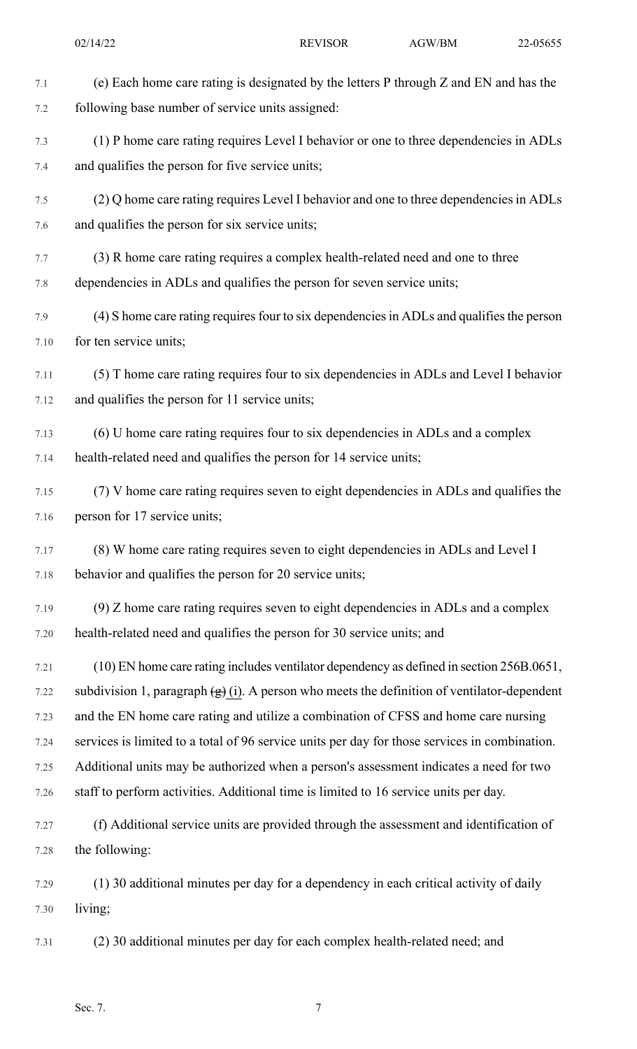| 7.1  | (e) Each home care rating is designated by the letters P through Z and EN and has the                              |
|------|--------------------------------------------------------------------------------------------------------------------|
| 7.2  | following base number of service units assigned:                                                                   |
| 7.3  | (1) P home care rating requires Level I behavior or one to three dependencies in ADLs                              |
| 7.4  | and qualifies the person for five service units;                                                                   |
| 7.5  | (2) Q home care rating requires Level I behavior and one to three dependencies in ADLs                             |
| 7.6  | and qualifies the person for six service units;                                                                    |
| 7.7  | (3) R home care rating requires a complex health-related need and one to three                                     |
| 7.8  | dependencies in ADLs and qualifies the person for seven service units;                                             |
| 7.9  | (4) S home care rating requires four to six dependencies in ADLs and qualifies the person                          |
| 7.10 | for ten service units;                                                                                             |
| 7.11 | (5) T home care rating requires four to six dependencies in ADLs and Level I behavior                              |
| 7.12 | and qualifies the person for 11 service units;                                                                     |
| 7.13 | (6) U home care rating requires four to six dependencies in ADLs and a complex                                     |
| 7.14 | health-related need and qualifies the person for 14 service units;                                                 |
| 7.15 | (7) V home care rating requires seven to eight dependencies in ADLs and qualifies the                              |
| 7.16 | person for 17 service units;                                                                                       |
| 7.17 | (8) W home care rating requires seven to eight dependencies in ADLs and Level I                                    |
| 7.18 | behavior and qualifies the person for 20 service units;                                                            |
| 7.19 | (9) Z home care rating requires seven to eight dependencies in ADLs and a complex                                  |
| 7.20 | health-related need and qualifies the person for 30 service units; and                                             |
| 7.21 | (10) EN home care rating includes ventilator dependency as defined in section 256B.0651,                           |
| 7.22 | subdivision 1, paragraph $\left(\frac{g}{g}\right)(i)$ . A person who meets the definition of ventilator-dependent |
| 7.23 | and the EN home care rating and utilize a combination of CFSS and home care nursing                                |
| 7.24 | services is limited to a total of 96 service units per day for those services in combination.                      |
| 7.25 | Additional units may be authorized when a person's assessment indicates a need for two                             |
| 7.26 | staff to perform activities. Additional time is limited to 16 service units per day.                               |
| 7.27 | (f) Additional service units are provided through the assessment and identification of                             |
| 7.28 | the following:                                                                                                     |
| 7.29 | (1) 30 additional minutes per day for a dependency in each critical activity of daily                              |
| 7.30 | living;                                                                                                            |
| 7.31 | (2) 30 additional minutes per day for each complex health-related need; and                                        |